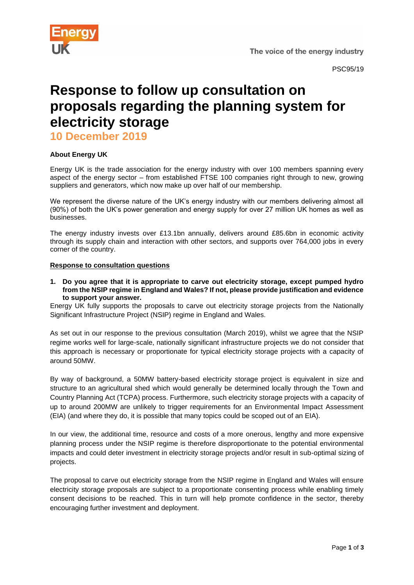

The voice of the energy industry

# **Response to follow up consultation on proposals regarding the planning system for electricity storage**

**10 December 2019**

## **About Energy UK**

Energy UK is the trade association for the energy industry with over 100 members spanning every aspect of the energy sector – from established FTSE 100 companies right through to new, growing suppliers and generators, which now make up over half of our membership.

We represent the diverse nature of the UK's energy industry with our members delivering almost all (90%) of both the UK's power generation and energy supply for over 27 million UK homes as well as businesses.

The energy industry invests over £13.1bn annually, delivers around £85.6bn in economic activity through its supply chain and interaction with other sectors, and supports over 764,000 jobs in every corner of the country.

#### **Response to consultation questions**

**1. Do you agree that it is appropriate to carve out electricity storage, except pumped hydro from the NSIP regime in England and Wales? If not, please provide justification and evidence to support your answer.**

Energy UK fully supports the proposals to carve out electricity storage projects from the Nationally Significant Infrastructure Project (NSIP) regime in England and Wales.

As set out in our response to the previous consultation (March 2019), whilst we agree that the NSIP regime works well for large-scale, nationally significant infrastructure projects we do not consider that this approach is necessary or proportionate for typical electricity storage projects with a capacity of around 50MW.

By way of background, a 50MW battery-based electricity storage project is equivalent in size and structure to an agricultural shed which would generally be determined locally through the Town and Country Planning Act (TCPA) process. Furthermore, such electricity storage projects with a capacity of up to around 200MW are unlikely to trigger requirements for an Environmental Impact Assessment (EIA) (and where they do, it is possible that many topics could be scoped out of an EIA).

In our view, the additional time, resource and costs of a more onerous, lengthy and more expensive planning process under the NSIP regime is therefore disproportionate to the potential environmental impacts and could deter investment in electricity storage projects and/or result in sub-optimal sizing of projects.

The proposal to carve out electricity storage from the NSIP regime in England and Wales will ensure electricity storage proposals are subject to a proportionate consenting process while enabling timely consent decisions to be reached. This in turn will help promote confidence in the sector, thereby encouraging further investment and deployment.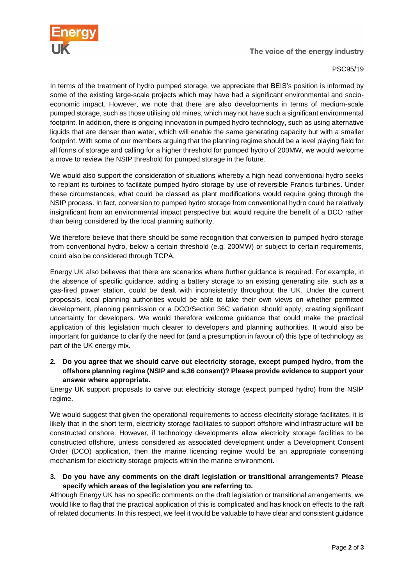

The voice of the energy industry

#### PSC95/19

In terms of the treatment of hydro pumped storage, we appreciate that BEIS's position is informed by some of the existing large-scale projects which may have had a significant environmental and socioeconomic impact. However, we note that there are also developments in terms of medium-scale pumped storage, such as those utilising old mines, which may not have such a significant environmental footprint. In addition, there is ongoing innovation in pumped hydro technology, such as using alternative liquids that are denser than water, which will enable the same generating capacity but with a smaller footprint. With some of our members arguing that the planning regime should be a level playing field for all forms of storage and calling for a higher threshold for pumped hydro of 200MW, we would welcome a move to review the NSIP threshold for pumped storage in the future.

We would also support the consideration of situations whereby a high head conventional hydro seeks to replant its turbines to facilitate pumped hydro storage by use of reversible Francis turbines. Under these circumstances, what could be classed as plant modifications would require going through the NSIP process. In fact, conversion to pumped hydro storage from conventional hydro could be relatively insignificant from an environmental impact perspective but would require the benefit of a DCO rather than being considered by the local planning authority.

We therefore believe that there should be some recognition that conversion to pumped hydro storage from conventional hydro, below a certain threshold (e.g. 200MW) or subject to certain requirements, could also be considered through TCPA.

Energy UK also believes that there are scenarios where further guidance is required. For example, in the absence of specific guidance, adding a battery storage to an existing generating site, such as a gas-fired power station, could be dealt with inconsistently throughout the UK. Under the current proposals, local planning authorities would be able to take their own views on whether permitted development, planning permission or a DCO/Section 36C variation should apply, creating significant uncertainty for developers. We would therefore welcome guidance that could make the practical application of this legislation much clearer to developers and planning authorities. It would also be important for guidance to clarify the need for (and a presumption in favour of) this type of technology as part of the UK energy mix.

### **2. Do you agree that we should carve out electricity storage, except pumped hydro, from the offshore planning regime (NSIP and s.36 consent)? Please provide evidence to support your answer where appropriate.**

Energy UK support proposals to carve out electricity storage (expect pumped hydro) from the NSIP regime.

We would suggest that given the operational requirements to access electricity storage facilitates, it is likely that in the short term, electricity storage facilitates to support offshore wind infrastructure will be constructed onshore. However, if technology developments allow electricity storage facilities to be constructed offshore, unless considered as associated development under a Development Consent Order (DCO) application, then the marine licencing regime would be an appropriate consenting mechanism for electricity storage projects within the marine environment.

#### **3. Do you have any comments on the draft legislation or transitional arrangements? Please specify which areas of the legislation you are referring to.**

Although Energy UK has no specific comments on the draft legislation or transitional arrangements, we would like to flag that the practical application of this is complicated and has knock on effects to the raft of related documents. In this respect, we feel it would be valuable to have clear and consistent guidance